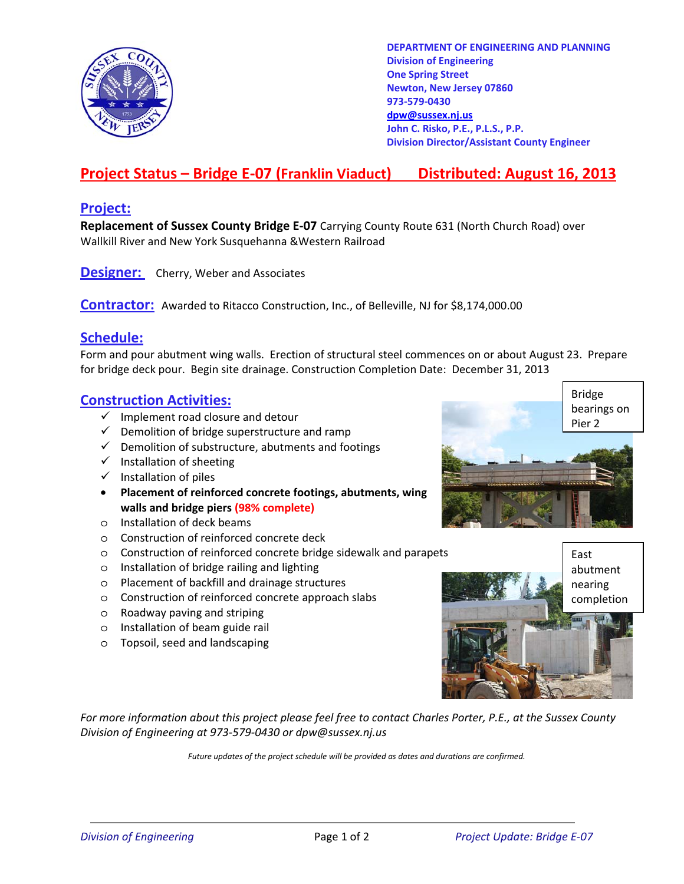

**DEPARTMENT OF ENGINEERING AND PLANNING Division of Engineering One Spring Street Newton, New Jersey 07860 973-579-0430 dpw@sussex.nj.us John C. Risko, P.E., P.L.S., P.P. Division Director/Assistant County Engineer** 

# **Project Status – Bridge E-07 (Franklin Viaduct) Distributed: August 16, 2013**

### **Project:**

**Replacement of Sussex County Bridge E-07** Carrying County Route 631 (North Church Road) over Wallkill River and New York Susquehanna &Western Railroad

**Designer:** Cherry, Weber and Associates

**Contractor:** Awarded to Ritacco Construction, Inc., of Belleville, NJ for \$8,174,000.00

### **Schedule:**

Form and pour abutment wing walls. Erection of structural steel commences on or about August 23. Prepare for bridge deck pour. Begin site drainage. Construction Completion Date: December 31, 2013

#### **Construction Activities:**

- $\checkmark$  Implement road closure and detour
- $\checkmark$  Demolition of bridge superstructure and ramp
- $\checkmark$  Demolition of substructure, abutments and footings
- $\checkmark$  Installation of sheeting
- $\checkmark$  Installation of piles
- **Placement of reinforced concrete footings, abutments, wing walls and bridge piers (98% complete)**
- o Installation of deck beams
- o Construction of reinforced concrete deck
- o Construction of reinforced concrete bridge sidewalk and parapets East
- o Installation of bridge railing and lighting
- o Placement of backfill and drainage structures
- o Construction of reinforced concrete approach slabs
- o Roadway paving and striping
- o Installation of beam guide rail
- o Topsoil, seed and landscaping





*For more information about this project please feel free to contact Charles Porter, P.E., at the Sussex County Division of Engineering at 973-579-0430 or dpw@sussex.nj.us* 

*Future updates of the project schedule will be provided as dates and durations are confirmed.*